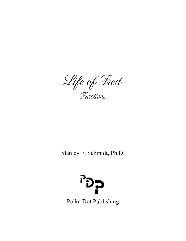Life of Fred Fractions

Stanley F. Schmidt, Ph.D.



Polka Dot Publishing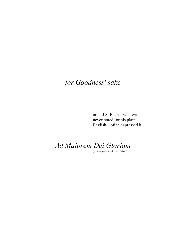# *for Goodness' sake*

or as J.S. Bach—who was never noted for his plain English—often expressed it:

*Ad Majorem Dei Gloriam*

(to the greater glory of God)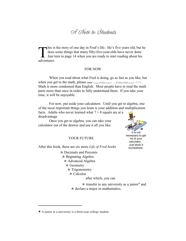## A Note to Students

This is<br>does if<br>diventures. his is the story of one day in Fred's life. He's five years old, but he does some things that many fifty-five-year-olds have never done. Just turn to page 14 when you are ready to start reading about his

### FOR NOW

When you read about what Fred is doing, go as fast as you like, but when you get to the math, please  $\leq$ Math is more condensed than English. Most people have to read the math parts more than once in order to fully understand them. If you take your time, it will be enjoyable.

For now, put aside your calculators. Until you get to algebra, one of the most important things you learn is your addition and multiplication facts. Adults who never learned what  $7 \times 8$  equals are at a disadvantage.

Once you get to algebra, you can take your calculator out of the drawer and use it all you like.

#### YOUR FUTURE

After this book, there are six more *Life of Fred books*

 $\ast$  Decimals and Percents  $*$  Beginning Algebra  $*$  Advanced Algebra  $\star$  Geometry  $\star$  Trigonometry  $\ast$  Calculus

after which, you can

 $*$  transfer to any university as a junior<sup>\*</sup> and  $\star$  declare a major in mathematics.





It is not necessary to get rid of your calculator. Just store it somewhere.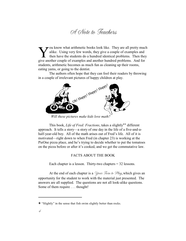## A Note to Teachers

Vou know what arithmetic books look like. They are all pretty much alike. Using very few words, they give a couple of examples and then have the students do a hundred identical problems. Then the give another couple of exa  $\blacktriangleright$  ou know what arithmetic books look like. They are all pretty much alike. Using very few words, they give a couple of examples and then have the students do a hundred identical problems. Then they students, arithmetic becomes as much fun as cleaning up their rooms, eating yams, or going to the dentist.

The authors often hope that they can fool their readers by throwing in a couple of irrelevant pictures of happy children at play.



 *Will these pictures make kids love math?*

This book, *Life of Fred: Fractions*, takes a slightly\*\* different approach. It tells a story—a story of one day in the life of a five-and-ahalf-year-old boy. All of the math arises out of Fred's life. All of it is motivated—right down to when Fred (in chapter 23) is working at the PieOne pizza place, and he's trying to decide whether to put the tomatoes on the pizza before or after it's cooked, and we get the commutative law.

### FACTS ABOUT THE BOOK

Each chapter is a lesson. Thirty-two chapters = 32 lessons.

At the end of each chapter is a *Your Turn to Play*, which gives an opportunity for the student to work with the material just presented. The answers are all supplied. The questions are not all look-alike questions. Some of them require . . . thought!

 $*$  "Slightly" in the sense that fish swim slightly better than rocks.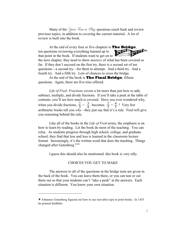Many of the *Your Turn to Play* questions reach back and review previous topics, in addition to covering the current material. A lot of review is built into the book.

At the end of every four or five chapters is **The Bridge**,<br>stions reviewing everything learned up to<br>int in the book. If students went to set ten questions reviewing everything learned up to that point in the book. If students want to get on to

the next chapter, they need to show *mastery* of what has been covered so far. If they don't succeed on the first try, there is a second set of ten questions—a second try—for them to attempt. And a third try. And a fourth try. And a fifth try. Lots of chances to cross the bridge.

At the end of the book is **The Final Bridge**, fifteen questions. Again, there are five tries offered.

*Life of Fred: Fractions* covers a lot more than just how to add, subtract, multiply, and divide fractions. If you'll take a peek at the table of contents, you'll see how much is covered. Have you ever wondered why, when you divide fractions,  $\frac{2}{3} \div \frac{3}{4}$  becomes  $\frac{2}{3} \times \frac{4}{3}$ ? Very few arithmetic books tell you *why—*they just say that it's a rule. Fred will give you reasoning behind the rule.

Like all of the books in the *Life of Fred* series, the emphasis is on how to learn by reading. Let the book do most of the teaching. You can relax. As students progress through high school, college, and graduate school, they find that less and less is learned in the classroom lecture format. Increasingly, it's the written word that does the teaching. Things changed after Gutenberg.\*\*\*

I guess this should also be mentioned: this book is very silly.

### CHOICES YOU GET TO MAKE

The answers to all of the questions in the bridge tests are given in the back of the book. You can leave them there, or you can tear or cut them out so that your students can't "take a peek" at the answers. Each situation is different. You know your own situation.

 $\ast$  Johannes Gutenberg figured out how to use movable type to print books. In 1455 he printed theBible.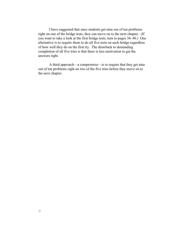I have suggested that once students get nine out of ten problems right on one of the bridge tests, they can move on to the next chapter. (If you want to take a look at the first bridge tests, turn to pages 36–40.) One alternative is to require them to do all five tests on each bridge regardless of how well they do on the first try. The drawback to demanding completion of all five tries is that there is less motivation to get the answers right.

A third approach—a compromise—is to require that they get nine out of ten problems right on two of the five tries before they move on to the next chapter.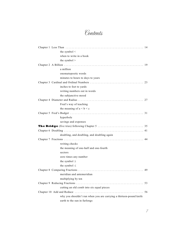Contents

| the symbol $\leq$                                                  |
|--------------------------------------------------------------------|
| when to write in a book                                            |
| the symbol $>$                                                     |
|                                                                    |
| a million                                                          |
| onomatopoetic words                                                |
| minutes to hours to days to years                                  |
|                                                                    |
| inches to feet to yards                                            |
| writing numbers out in words                                       |
| the subjunctive mood                                               |
|                                                                    |
| Fred's way of teaching                                             |
| the meaning of $a < b < c$                                         |
|                                                                    |
| hyperbole                                                          |
| savings and expenses                                               |
|                                                                    |
|                                                                    |
|                                                                    |
| doubling, and doubling, and doubling again                         |
|                                                                    |
| writing checks                                                     |
| the meaning of one-half and one-fourth                             |
| sectors                                                            |
| zero times any number                                              |
| the symbol $\geq$                                                  |
| the symbol $\leq$                                                  |
|                                                                    |
| meridian and antemeridian                                          |
| multiplying by ten                                                 |
|                                                                    |
| cutting an old comb into six equal pieces                          |
|                                                                    |
| why you shouldn't run when you are carrying a thirteen-pound knife |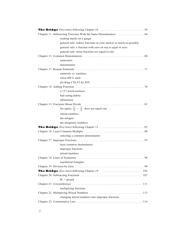| reading marks on a gauge                                          |
|-------------------------------------------------------------------|
| general rule: reduce fractions in your answer as much as possible |
| general rule: a fraction with zero on top is equal to zero        |
| general rule: when fractions are equal to one                     |
|                                                                   |
| numerator                                                         |
| denominator                                                       |
|                                                                   |
| numerals vs. numbers                                              |
| when IIII is used                                                 |
| dividing CXLVI by XIV                                             |
|                                                                   |
| a 137-word sentence                                               |
| bad eating habits                                                 |
| alliteration                                                      |
|                                                                   |
| for tapirs, $\frac{1}{2} + \frac{1}{2}$ does not equal one        |
| whole numbers                                                     |
| the integers                                                      |
| the imaginary numbers                                             |
|                                                                   |
|                                                                   |
| selecting a common denominator                                    |
|                                                                   |
| least common denominator                                          |
| improper fractions                                                |
|                                                                   |
| mixed numbers                                                     |
|                                                                   |
| equilateral triangles                                             |
|                                                                   |
|                                                                   |
|                                                                   |
| $lb = pound$                                                      |
| multiplying fractions                                             |
|                                                                   |
| changing mixed numbers into improper fractions                    |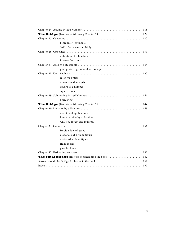| Florence Nightingale                                          |
|---------------------------------------------------------------|
| "of" often means multiply                                     |
|                                                               |
| definition of a function                                      |
| inverse functions                                             |
|                                                               |
| goal posts: high school vs. college                           |
|                                                               |
| rules for kitties                                             |
| dimensional analysis                                          |
| square of a number                                            |
| square roots                                                  |
|                                                               |
| borrowing                                                     |
|                                                               |
|                                                               |
| credit card applications                                      |
| how to divide by a fraction                                   |
| why you invert and multiply                                   |
|                                                               |
| Boyle's law of gases                                          |
| diagonals of a plane figure                                   |
| vertex of a plane figure                                      |
| right angles                                                  |
| parallel lines                                                |
|                                                               |
| <b>The Final Bridge</b> (five tries) concluding the book  162 |
|                                                               |
|                                                               |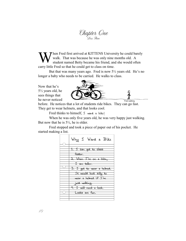Chapter One Less Than

W<sub>w</sub> hen Fred first arrived at KITTENS University he could barely walk. That was because he was only nine months old. A student named Betty became his friend, and she would often carry little Fred so that he could get to class on time.

But that was many years ago. Fred is now 5½ years old. He's no longer a baby who needs to be carried. He walks to class.

Now that he's 5½ years old, he sees things that he never noticed



before. He notices that a lot of students ride bikes. They can go fast. They get to wear helmets, and that looks cool.

Fred thinks to himself,  $I$  want a bikel

When he was only five years old, he was very happy just walking. But now that he is  $5\frac{1}{2}$ , he is older.

Fred stopped and took a piece of paper out of his pocket. He started making a list.

| Why I Want a Bike          |
|----------------------------|
|                            |
| 1. I can get to class      |
| faster.                    |
| 2. When I'm on a bike,     |
| <del>I am taller.</del>    |
| 3. I get to wear a helmet. |
| It would look silly to     |
| wear a helmet if I'm       |
| just walking.              |
| 4. I will need a lock.     |
| Locks are fun.             |
|                            |
|                            |

10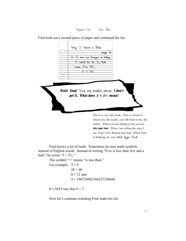Chapter One Less Than

Fred took out a second piece of paper and continued his list.



Fred knows a lot of math. Sometimes he uses math symbols instead of English words. Instead of writing "Five is less than five and a half," he wrote " $5 < 5\frac{1}{2}$ ."

> The symbol "<" means "is less than." For example,  $3 < 8$  $20 < 40$  $0 < 12$  and 4 < 390724902304237230049.

It's NOT true that  $9 < 7$ .

Now let's continue watching Fred make his list.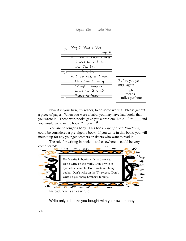Chapter One Less Than



Now it is your turn, my reader, to do some writing. Please get out a piece of paper. When you were a baby, you may have had books that you wrote in. Those workbooks gave you a problem like  $2 + 3 =$  and you would write in the book:  $2 + 3 = 5$ .

You are no longer a baby. This book, *Life of Fred: Fractions*, could be considered a pre-algebra book. If you write in this book, you will mess it up for any younger brothers or sisters who want to read it.

The rule for writing in books—and elsewhere--- could be very complicated:



Instead, here is an easy rule:

Write only in books you bought with your own money.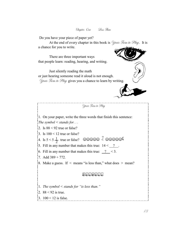Chapter One Less Than

Do you have your piece of paper yet?

At the end of every chapter in this book is  $\mathcal Q$  our Turn to Play. It is a chance for you to write.

There are three important ways that people learn: reading, hearing, and writing.

Just silently reading the math or just hearing someone read it aloud is not enough. Your Turn to Play gives you a chance to learn by writing.



Your Turn to Play

1. On your paper, write the three words that finish this sentence: *The symbol < stands for. . .* 

2. Is 88 < 92 true or false?

3. Is  $100 < 12$  true or false?

4. Is  $5 < 5 \frac{1}{2}$  true or false? ©©©©©  $\frac{2}{5}$  ©©©©©

5. Fill in any number that makes this true:  $14 <$  ?..

6. Fill in any number that makes this true:  $\frac{?}{?}$  < 3.

7. Add 389 + 772.

8. Make a guess. If  $\leq$  means "is less than," what does  $>$  mean?

### Answers

1. *The symbol < stands for "is less than."*

2. 88 < 92 is true.

3. 100 < 12 is false.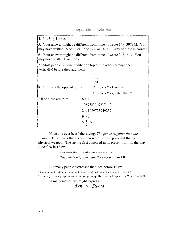| 4. $5 < 5 \frac{1}{2}$ is true.      |                                                                                                                                                                    |
|--------------------------------------|--------------------------------------------------------------------------------------------------------------------------------------------------------------------|
|                                      | 5. Your answer might be different from mine. I wrote $14 < 397972$ . You<br>may have written 15 or 16 or 17 or $14\frac{1}{2}$ or 14.001. Any of these is correct. |
| may have written 0 or 1 or 2.        | 6. Your answer might be different from mine. I wrote $2\frac{1}{2} < 3$ . You                                                                                      |
| vertically) before they add them.    | 7. Most people put one number on top of the other (arrange them                                                                                                    |
|                                      | 389                                                                                                                                                                |
|                                      | $+ 772$                                                                                                                                                            |
|                                      | 1161                                                                                                                                                               |
| 8. $>$ means the opposite of $\le$ . | < means "is less than."                                                                                                                                            |
|                                      | > means "is greater than."                                                                                                                                         |
| All of these are true:               | 8 > 4                                                                                                                                                              |
|                                      | 1089723949237 > 2                                                                                                                                                  |
|                                      | 2 < 1089723949237                                                                                                                                                  |
|                                      | 9 > 0                                                                                                                                                              |
|                                      | $5\frac{1}{2} > 5$                                                                                                                                                 |
|                                      |                                                                                                                                                                    |

Have you ever heard the saying: *The pen is mightier than the sword* ? This means that the written word is more powerful than a physical weapon. The saying first appeared in its present form in the play *Richelieu* in 1839:

> *Beneath the rule of men entirely great, The pen is mightier than the sword.* (Act II)

But many people expressed that idea before 1839:

"The tongue is mightier than the blade." —Greek poet Euripides in 400s BC. ". . . many wearing rapiers are afraid of goose quills." —Shakespeare in *Hamlet* in 1600.

In mathematics, we might express it:

 *Pen > Sword*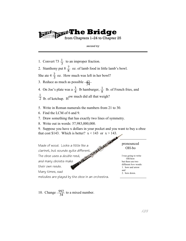**Fixal Pridge** from Chapters 1–24 to Chapter 25

*second try*

1. Convert 73  $\frac{1}{3}$  to an improper fraction.

2. Stanthony put  $8\frac{7}{8}$  oz. of lamb food in little lamb's bowl.

She ate  $4\frac{2}{3}$  oz. How much was left in her bowl?

- 3. Reduce as much as possible  $\frac{42}{51}$
- 4. On Joe's plate was a  $\frac{3}{4}$  lb hamburger,  $\frac{1}{8}$  lb. of French fries, and
- $\frac{1}{2}$  lb. of ketchup. H<sup>ow much did all that weigh?</sup>
	- 5. Write in Roman numerals the numbers from 21 to 30.
	- 6. Find the LCM of 6 and 9.
	- 7. Draw something that has exactly two lines of symmetry.
	- 8. Write out in words: 57,983,000,000.

9. Suppose you have x dollars in your pocket and you want to buy a oboe that cost \$143. Which is better?  $x < 143$  or  $x > 143$ .

and Made of wood. Looks a little like a<br>clarinet, but sounds quite different.<br>The oboe uses a double reed<br>and many oboist clarinet, but sounds quite different. The oboe uses a double reed, and many oboists make their own reeds. Many times, sad melodies are played by the oboe in an orchestra.

pronounced OH-bo

I was going to write OH-bow but there are two different *bow* words: 1. bow and arrow 2. bow down.

10. Change  $\frac{992}{34}$  to a mixed number.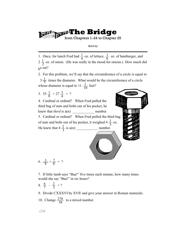**The Bridge** from Chapters 1–24 to Chapter 25

*third try*

1. Once, for lunch Fred had  $\frac{1}{4}$  oz. of lettuce,  $\frac{1}{8}$  oz. of hamburger, and  $2\frac{1}{2}$  oz. of onion. (He was really in the mood for onions.) How much did h<sup>e eat?</sup>

2. For this problem, we'll say that the circumference of a circle is equal to whose diameter is equal to  $11 \frac{1}{10}$  feet?  $3\frac{1}{7}$  times the diameter. What would be the circumference of a circle

3.  $55\frac{1}{8} + 27\frac{3}{4} = ?$ 

4. Cardinal or ordinal? When Fred pulled the third bag of nuts and bolts out of his pocket, he knew that *third* is a(n) \_\_\_\_\_\_\_\_\_\_\_\_ number. 5. Cardinal or ordinal? When Fred pulled the third bag 3 of nuts and bolts out of his pocket, it weighed 4 oz. 2 3 He knew that 4 is a(n) \_\_\_\_\_\_\_\_\_\_\_\_ number. 2

6.  $\frac{3}{4} \times \frac{7}{6} = ?$ 

7. If little lamb says "Baa!" five times each minute, how many times would she say "Baa!" in six hours?

8.  $\frac{6}{7} - \frac{2}{3} = ?$ 

9. Divide CXXXVI by XVII and give your answer in Roman numerals.

10. Change  $\frac{276}{38}$  to a mixed number.

124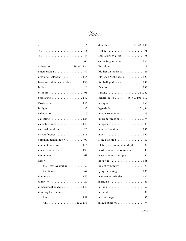| $\leq$                                                               |
|----------------------------------------------------------------------|
|                                                                      |
| alliteration $\ldots \ldots \ldots \ldots$ 79, 96, 134               |
| antemeridian 49                                                      |
| area of a rectangle  135                                             |
| basic rule about car washes  137                                     |
|                                                                      |
|                                                                      |
| borrowing $\ldots \ldots \ldots \ldots \ldots \ldots 142$            |
| Boyle's Law  156                                                     |
| bridges $\ldots \ldots \ldots \ldots \ldots \ldots \ldots \ldots$ 35 |
|                                                                      |
| canceling $\ldots \ldots \ldots \ldots \ldots \ldots 128$            |
| canceling units  138                                                 |
| cardinal numbers  23                                                 |
| circumference  111                                                   |
| common denominator  90                                               |
| commutative law  116                                                 |
| conversion factor  139                                               |
|                                                                      |
| desert                                                               |
| the Great Australian  62                                             |
|                                                                      |
| diagonals $\ldots \ldots \ldots \ldots \ldots \ldots 157$            |
| diameter<br>$\ldots$ 29                                              |
| dimensional analysis  139                                            |
| dividing by fractions                                                |
|                                                                      |
| why 152, 153                                                         |

| doubling  42, 43, 145                                      |
|------------------------------------------------------------|
|                                                            |
| equilateral triangle  98                                   |
| estimating answers  161                                    |
| Euripides  18                                              |
| Fiddler on the Roof  26                                    |
| Florence Nightingale  127                                  |
| football goal posts  136                                   |
| function  131                                              |
| furlong $\ldots \ldots \ldots \ldots \ldots \ldots 58, 62$ |
| general rules  66, 67, 101, 112                            |
|                                                            |
| hyperbole $\ldots \ldots \ldots \ldots \ldots 31,96$       |
| imaginary numbers  83                                      |
| improper fraction  93, 94                                  |
|                                                            |
| inverse function  132                                      |
|                                                            |
| King Solomon  83                                           |
| LCM (least common multiple)  91                            |
| least common denominator 93                                |
| least common multiple  91                                  |
|                                                            |
| line of symmetry $\dots \dots \dots \dots \dots \dots$ 97  |
| lying vs. laying $\ldots \ldots \ldots \ldots \ldots 107$  |
| man named Giggles  100                                     |
| meridian  49                                               |
|                                                            |
|                                                            |
|                                                            |
| mixed numbers  94                                          |
|                                                            |